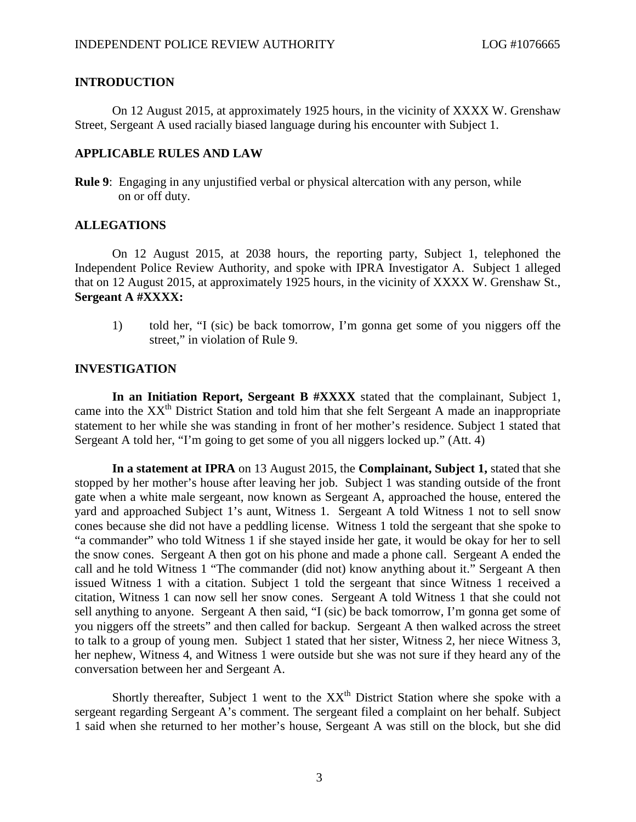# **INTRODUCTION**

On 12 August 2015, at approximately 1925 hours, in the vicinity of XXXX W. Grenshaw Street, Sergeant A used racially biased language during his encounter with Subject 1.

## **APPLICABLE RULES AND LAW**

**Rule 9**: Engaging in any unjustified verbal or physical altercation with any person, while on or off duty.

### **ALLEGATIONS**

On 12 August 2015, at 2038 hours, the reporting party, Subject 1, telephoned the Independent Police Review Authority, and spoke with IPRA Investigator A. Subject 1 alleged that on 12 August 2015, at approximately 1925 hours, in the vicinity of XXXX W. Grenshaw St., **Sergeant A #XXXX:**

1) told her, "I (sic) be back tomorrow, I'm gonna get some of you niggers off the street," in violation of Rule 9.

### **INVESTIGATION**

**In an Initiation Report, Sergeant B #XXXX** stated that the complainant, Subject 1, came into the  $XX<sup>th</sup>$  District Station and told him that she felt Sergeant A made an inappropriate statement to her while she was standing in front of her mother's residence. Subject 1 stated that Sergeant A told her, "I'm going to get some of you all niggers locked up." (Att. 4)

**In a statement at IPRA** on 13 August 2015, the **Complainant, Subject 1,** stated that she stopped by her mother's house after leaving her job. Subject 1 was standing outside of the front gate when a white male sergeant, now known as Sergeant A, approached the house, entered the yard and approached Subject 1's aunt, Witness 1. Sergeant A told Witness 1 not to sell snow cones because she did not have a peddling license. Witness 1 told the sergeant that she spoke to "a commander" who told Witness 1 if she stayed inside her gate, it would be okay for her to sell the snow cones. Sergeant A then got on his phone and made a phone call. Sergeant A ended the call and he told Witness 1 "The commander (did not) know anything about it." Sergeant A then issued Witness 1 with a citation. Subject 1 told the sergeant that since Witness 1 received a citation, Witness 1 can now sell her snow cones. Sergeant A told Witness 1 that she could not sell anything to anyone. Sergeant A then said, "I (sic) be back tomorrow, I'm gonna get some of you niggers off the streets" and then called for backup. Sergeant A then walked across the street to talk to a group of young men. Subject 1 stated that her sister, Witness 2, her niece Witness 3, her nephew, Witness 4, and Witness 1 were outside but she was not sure if they heard any of the conversation between her and Sergeant A.

Shortly thereafter, Subject 1 went to the  $XX<sup>th</sup>$  District Station where she spoke with a sergeant regarding Sergeant A's comment. The sergeant filed a complaint on her behalf. Subject 1 said when she returned to her mother's house, Sergeant A was still on the block, but she did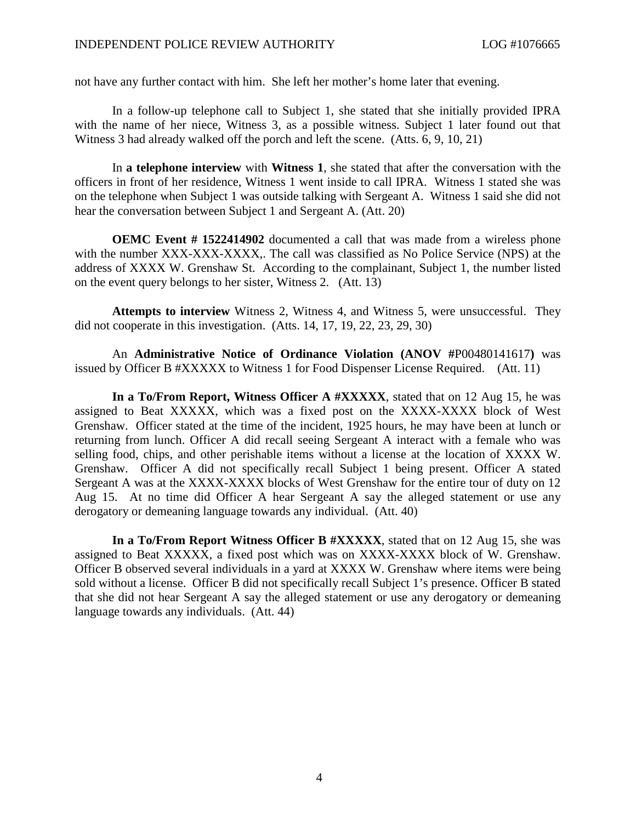not have any further contact with him. She left her mother's home later that evening.

In a follow-up telephone call to Subject 1, she stated that she initially provided IPRA with the name of her niece, Witness 3, as a possible witness. Subject 1 later found out that Witness 3 had already walked off the porch and left the scene. (Atts. 6, 9, 10, 21)

In **a telephone interview** with **Witness 1**, she stated that after the conversation with the officers in front of her residence, Witness 1 went inside to call IPRA. Witness 1 stated she was on the telephone when Subject 1 was outside talking with Sergeant A. Witness 1 said she did not hear the conversation between Subject 1 and Sergeant A. (Att. 20)

**OEMC Event # 1522414902** documented a call that was made from a wireless phone with the number XXX-XXX-XXXX,. The call was classified as No Police Service (NPS) at the address of XXXX W. Grenshaw St. According to the complainant, Subject 1, the number listed on the event query belongs to her sister, Witness 2. (Att. 13)

**Attempts to interview** Witness 2, Witness 4, and Witness 5, were unsuccessful. They did not cooperate in this investigation. (Atts. 14, 17, 19, 22, 23, 29, 30)

An **Administrative Notice of Ordinance Violation (ANOV #**P00480141617**)** was issued by Officer B #XXXXX to Witness 1 for Food Dispenser License Required. (Att. 11)

**In a To/From Report, Witness Officer A #XXXXX**, stated that on 12 Aug 15, he was assigned to Beat XXXXX, which was a fixed post on the XXXX-XXXX block of West Grenshaw. Officer stated at the time of the incident, 1925 hours, he may have been at lunch or returning from lunch. Officer A did recall seeing Sergeant A interact with a female who was selling food, chips, and other perishable items without a license at the location of XXXX W. Grenshaw. Officer A did not specifically recall Subject 1 being present. Officer A stated Sergeant A was at the XXXX-XXXX blocks of West Grenshaw for the entire tour of duty on 12 Aug 15. At no time did Officer A hear Sergeant A say the alleged statement or use any derogatory or demeaning language towards any individual. (Att. 40)

**In a To/From Report Witness Officer B #XXXXX**, stated that on 12 Aug 15, she was assigned to Beat XXXXX, a fixed post which was on XXXX-XXXX block of W. Grenshaw. Officer B observed several individuals in a yard at XXXX W. Grenshaw where items were being sold without a license. Officer B did not specifically recall Subject 1's presence. Officer B stated that she did not hear Sergeant A say the alleged statement or use any derogatory or demeaning language towards any individuals. (Att. 44)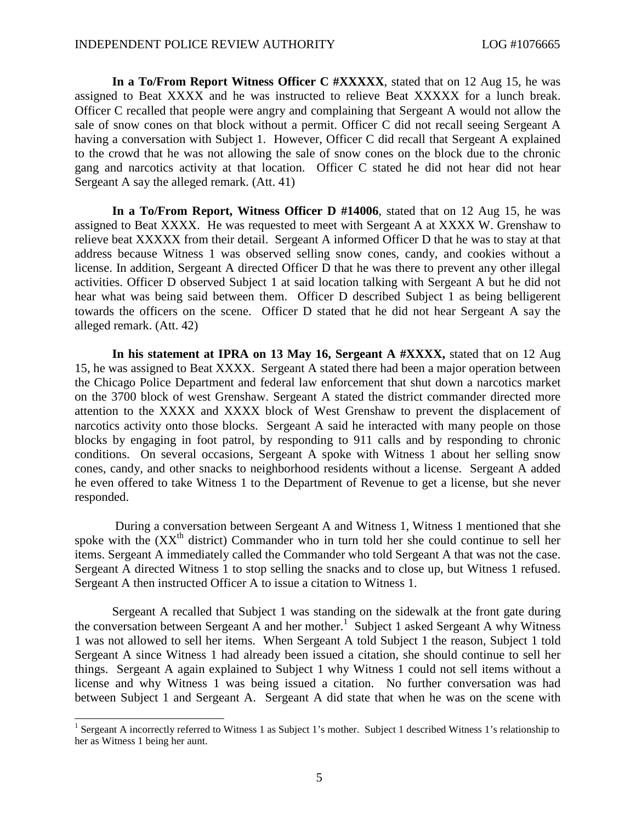**In a To/From Report Witness Officer C #XXXXX**, stated that on 12 Aug 15, he was assigned to Beat XXXX and he was instructed to relieve Beat XXXXX for a lunch break. Officer C recalled that people were angry and complaining that Sergeant A would not allow the sale of snow cones on that block without a permit. Officer C did not recall seeing Sergeant A having a conversation with Subject 1. However, Officer C did recall that Sergeant A explained to the crowd that he was not allowing the sale of snow cones on the block due to the chronic gang and narcotics activity at that location. Officer C stated he did not hear did not hear Sergeant A say the alleged remark. (Att. 41)

**In a To/From Report, Witness Officer D #14006**, stated that on 12 Aug 15, he was assigned to Beat XXXX. He was requested to meet with Sergeant A at XXXX W. Grenshaw to relieve beat XXXXX from their detail. Sergeant A informed Officer D that he was to stay at that address because Witness 1 was observed selling snow cones, candy, and cookies without a license. In addition, Sergeant A directed Officer D that he was there to prevent any other illegal activities. Officer D observed Subject 1 at said location talking with Sergeant A but he did not hear what was being said between them. Officer D described Subject 1 as being belligerent towards the officers on the scene. Officer D stated that he did not hear Sergeant A say the alleged remark. (Att. 42)

**In his statement at IPRA on 13 May 16, Sergeant A #XXXX,** stated that on 12 Aug 15, he was assigned to Beat XXXX. Sergeant A stated there had been a major operation between the Chicago Police Department and federal law enforcement that shut down a narcotics market on the 3700 block of west Grenshaw. Sergeant A stated the district commander directed more attention to the XXXX and XXXX block of West Grenshaw to prevent the displacement of narcotics activity onto those blocks. Sergeant A said he interacted with many people on those blocks by engaging in foot patrol, by responding to 911 calls and by responding to chronic conditions. On several occasions, Sergeant A spoke with Witness 1 about her selling snow cones, candy, and other snacks to neighborhood residents without a license. Sergeant A added he even offered to take Witness 1 to the Department of Revenue to get a license, but she never responded.

During a conversation between Sergeant A and Witness 1, Witness 1 mentioned that she spoke with the  $(XX<sup>th</sup>$  district) Commander who in turn told her she could continue to sell her items. Sergeant A immediately called the Commander who told Sergeant A that was not the case. Sergeant A directed Witness 1 to stop selling the snacks and to close up, but Witness 1 refused. Sergeant A then instructed Officer A to issue a citation to Witness 1.

Sergeant A recalled that Subject 1 was standing on the sidewalk at the front gate during the conversation between Sergeant A and her mother.<sup>[1](#page-2-0)</sup> Subject 1 asked Sergeant A why Witness 1 was not allowed to sell her items. When Sergeant A told Subject 1 the reason, Subject 1 told Sergeant A since Witness 1 had already been issued a citation, she should continue to sell her things. Sergeant A again explained to Subject 1 why Witness 1 could not sell items without a license and why Witness 1 was being issued a citation. No further conversation was had between Subject 1 and Sergeant A. Sergeant A did state that when he was on the scene with

<span id="page-2-0"></span><sup>&</sup>lt;sup>1</sup> Sergeant A incorrectly referred to Witness 1 as Subject 1's mother. Subject 1 described Witness 1's relationship to her as Witness 1 being her aunt.